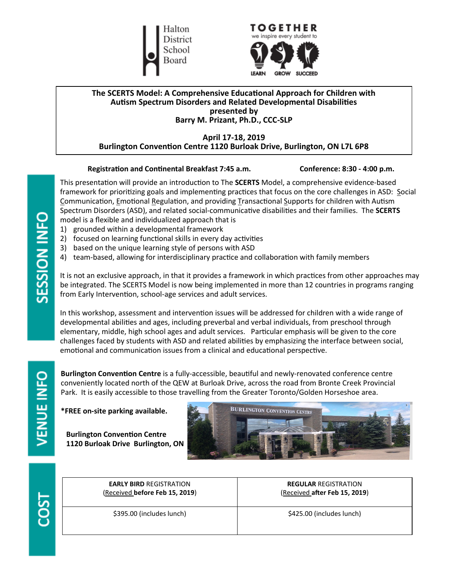



### **The SCERTS Model: A Comprehensive Educational Approach for Children with Autism Spectrum Disorders and Related Developmental Disabilities presented by Barry M. Prizant, Ph.D., CCC-SLP**

### **April 17-18, 2019 Burlington Convention Centre 1120 Burloak Drive, Burlington, ON L7L 6P8**

### **Registration and Continental Breakfast 7:45 a.m. Conference: 8:30 - 4:00 p.m.**

This presentation will provide an introduction to The **SCERTS** Model, a comprehensive evidence-based framework for prioritizing goals and implementing practices that focus on the core challenges in ASD: Social Communication, Emotional Regulation, and providing Transactional Supports for children with Autism Spectrum Disorders (ASD), and related social-communicative disabilities and their families. The **SCERTS** model is a flexible and individualized approach that is

- 1) grounded within a developmental framework
- 2) focused on learning functional skills in every day activities
- 3) based on the unique learning style of persons with ASD
- 4) team-based, allowing for interdisciplinary practice and collaboration with family members

It is not an exclusive approach, in that it provides a framework in which practices from other approaches may be integrated. The SCERTS Model is now being implemented in more than 12 countries in programs ranging from Early Intervention, school-age services and adult services.

In this workshop, assessment and intervention issues will be addressed for children with a wide range of developmental abilities and ages, including preverbal and verbal individuals, from preschool through elementary, middle, high school ages and adult services. Particular emphasis will be given to the core challenges faced by students with ASD and related abilities by emphasizing the interface between social, emotional and communication issues from a clinical and educational perspective.

**Burlington Convention Centre** is a fully-accessible, beautiful and newly-renovated conference centre conveniently located north of the QEW at Burloak Drive, across the road from Bronte Creek Provincial Park. It is easily accessible to those travelling from the Greater Toronto/Golden Horseshoe area.

#### **\*FREE on-site parking available.**

**Burlington Convention Centre 1120 Burloak Drive Burlington, ON** 





**VENUE INFO** 

| <b>EARLY BIRD REGISTRATION</b> | <b>REGULAR REGISTRATION</b>   |
|--------------------------------|-------------------------------|
| (Received before Feb 15, 2019) | (Received after Feb 15, 2019) |
| \$395.00 (includes lunch)      | \$425.00 (includes lunch)     |

SESSION INFO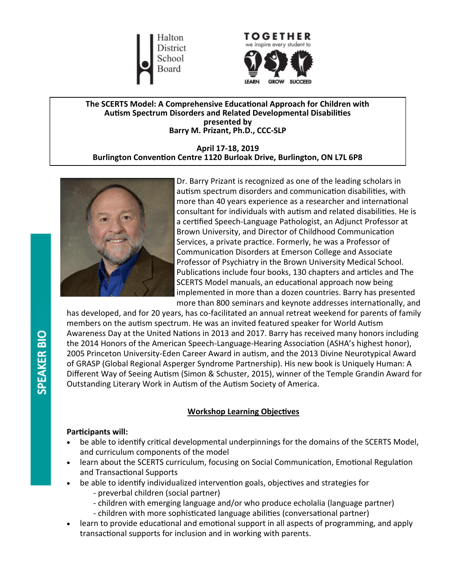Halton District School Board



**The SCERTS Model: A Comprehensive Educational Approach for Children with Autism Spectrum Disorders and Related Developmental Disabilities presented by Barry M. Prizant, Ph.D., CCC-SLP**

**April 17-18, 2019 Burlington Convention Centre 1120 Burloak Drive, Burlington, ON L7L 6P8**



Dr. Barry Prizant is recognized as one of the leading scholars in autism spectrum disorders and communication disabilities, with more than 40 years experience as a researcher and international consultant for individuals with autism and related disabilities. He is a certified Speech-Language Pathologist, an Adjunct Professor at Brown University, and Director of Childhood Communication Services, a private practice. Formerly, he was a Professor of Communication Disorders at Emerson College and Associate Professor of Psychiatry in the Brown University Medical School. Publications include four books, 130 chapters and articles and The SCERTS Model manuals, an educational approach now being implemented in more than a dozen countries. Barry has presented more than 800 seminars and keynote addresses internationally, and

has developed, and for 20 years, has co-facilitated an annual retreat weekend for parents of family members on the autism spectrum. He was an invited featured speaker for World Autism Awareness Day at the United Nations in 2013 and 2017. Barry has received many honors including the 2014 Honors of the American Speech-Language-Hearing Association (ASHA's highest honor), 2005 Princeton University-Eden Career Award in autism, and the 2013 Divine Neurotypical Award of GRASP (Global Regional Asperger Syndrome Partnership). His new book is Uniquely Human: A Different Way of Seeing Autism (Simon & Schuster, 2015), winner of the Temple Grandin Award for Outstanding Literary Work in Autism of the Autism Society of America.

### **Workshop Learning Objectives**

### **Participants will:**

- be able to identify critical developmental underpinnings for the domains of the SCERTS Model, and curriculum components of the model
- learn about the SCERTS curriculum, focusing on Social Communication, Emotional Regulation and Transactional Supports
- be able to identify individualized intervention goals, objectives and strategies for
	- preverbal children (social partner)
	- children with emerging language and/or who produce echolalia (language partner)
	- children with more sophisticated language abilities (conversational partner)
- learn to provide educational and emotional support in all aspects of programming, and apply transactional supports for inclusion and in working with parents.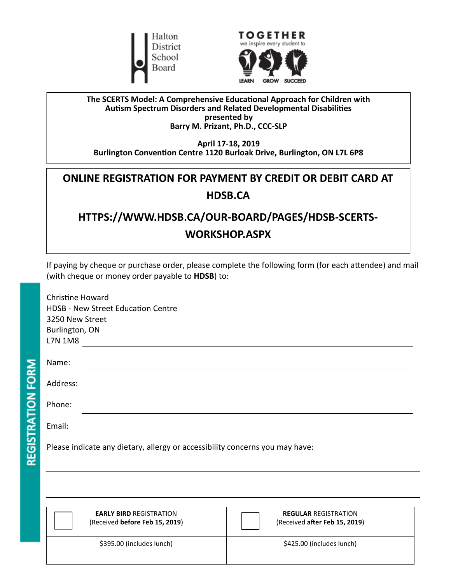



### **The SCERTS Model: A Comprehensive Educational Approach for Children with Autism Spectrum Disorders and Related Developmental Disabilities presented by Barry M. Prizant, Ph.D., CCC-SLP**

**April 17-18, 2019 Burlington Convention Centre 1120 Burloak Drive, Burlington, ON L7L 6P8**

## **ONLINE REGISTRATION FOR PAYMENT BY CREDIT OR DEBIT CARD AT HDSB.C[A](https://www.hdsb.ca/our-board/Pages/HDSB-SCERTS-Workshop.aspx)**

# **HTTPS://WWW.HDSB.CA/OUR-BOARD/PAGES/HDSB-SCERTS-WORKSHOP.ASPX**

If paying by cheque or purchase order, please complete the following form (for each attendee) and mail (with cheque or money order payable to **HDSB**) to:

| <b>Christine Howard</b><br><b>HDSB - New Street Education Centre</b><br>3250 New Street<br>Burlington, ON<br>L7N 1M8 |  |  |
|----------------------------------------------------------------------------------------------------------------------|--|--|
| Name:                                                                                                                |  |  |
| Address:                                                                                                             |  |  |
| Phone:                                                                                                               |  |  |
| Email:                                                                                                               |  |  |

Please indicate any dietary, allergy or accessibility concerns you may have:

REGISTRATION FORM

| <b>EARLY BIRD REGISTRATION</b> | <b>REGULAR REGISTRATION</b>   |
|--------------------------------|-------------------------------|
| (Received before Feb 15, 2019) | (Received after Feb 15, 2019) |
| \$395.00 (includes lunch)      | \$425.00 (includes lunch)     |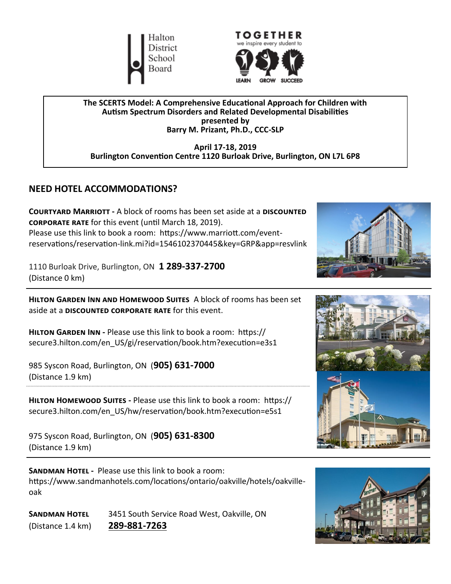



**The SCERTS Model: A Comprehensive Educational Approach for Children with Autism Spectrum Disorders and Related Developmental Disabilities presented by Barry M. Prizant, Ph.D., CCC-SLP**

**April 17-18, 2019 Burlington Convention Centre 1120 Burloak Drive, Burlington, ON L7L 6P8**

### **NEED HOTEL ACCOMMODATIONS?**

**Courtyard Marriott -** A block of rooms has been set aside at a **discounted corporate rate** for this event (until March 18, 2019). Please use this link to book a room: https://www.marriott.com/eventreservations/reservation-link.mi?id=1546102370445&key=GRP&app=resvlink

1110 Burloak Drive, Burlington, ON **1 289-337-2700**  (Distance 0 km)

**Hilton Garden Inn and Homewood Suites** A block of rooms has been set aside at a **discounted corporate rate** for this event.

**Hilton Garden Inn -** Please use this link to book a room: https:// secure3.hilton.com/en\_US/gi/reservation/book.htm?execution=e3s1

985 Syscon Road, Burlington, ON (**905) 631-7000**  (Distance 1.9 km)

**Hilton Homewood Suites -** Please use this link to book a room: https:// secure3.hilton.com/en\_US/hw/reservation/book.htm?execution=e5s1

975 Syscon Road, Burlington, ON (**905) 631-8300** (Distance 1.9 km)

**SANDMAN HOTEL -** Please use this link to book a room: https://www.sandmanhotels.com/locations/ontario/oakville/hotels/oakvilleoak

**Sandman Hotel** 3451 South Service Road West, Oakville, ON (Distance 1.4 km) **289-881-[7263](tel:289-881-7263)**